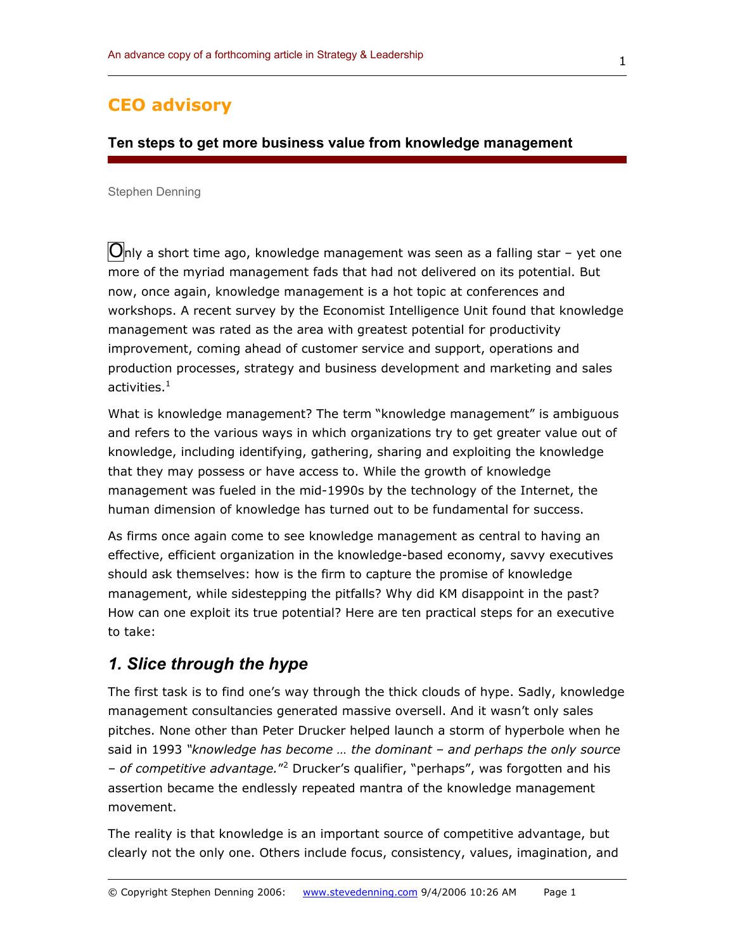## **CEO advisory**

#### **Ten steps to get more business value from knowledge management**

#### Stephen Denning

 $\bigcirc$ nly a short time ago, knowledge management was seen as a falling star – yet one more of the myriad management fads that had not delivered on its potential. But now, once again, knowledge management is a hot topic at conferences and workshops. A recent survey by the Economist Intelligence Unit found that knowledge management was rated as the area with greatest potential for productivity improvement, coming ahead of customer service and support, operations and production processes, strategy and business development and marketing and sales activities. $1$ 

What is knowledge management? The term "knowledge management" is ambiguous and refers to the various ways in which organizations try to get greater value out of knowledge, including identifying, gathering, sharing and exploiting the knowledge that they may possess or have access to. While the growth of knowledge management was fueled in the mid-1990s by the technology of the Internet, the human dimension of knowledge has turned out to be fundamental for success.

As firms once again come to see knowledge management as central to having an effective, efficient organization in the knowledge-based economy, savvy executives should ask themselves: how is the firm to capture the promise of knowledge management, while sidestepping the pitfalls? Why did KM disappoint in the past? How can one exploit its true potential? Here are ten practical steps for an executive to take:

## *1. Slice through the hype*

The first task is to find one's way through the thick clouds of hype. Sadly, knowledge management consultancies generated massive oversell. And it wasn't only sales pitches. None other than Peter Drucker helped launch a storm of hyperbole when he said in 1993 *"knowledge has become … the dominant – and perhaps the only source – of competitive advantage.*"<sup>2</sup> Drucker's qualifier, "perhaps", was forgotten and his assertion became the endlessly repeated mantra of the knowledge management movement.

The reality is that knowledge is an important source of competitive advantage, but clearly not the only one. Others include focus, consistency, values, imagination, and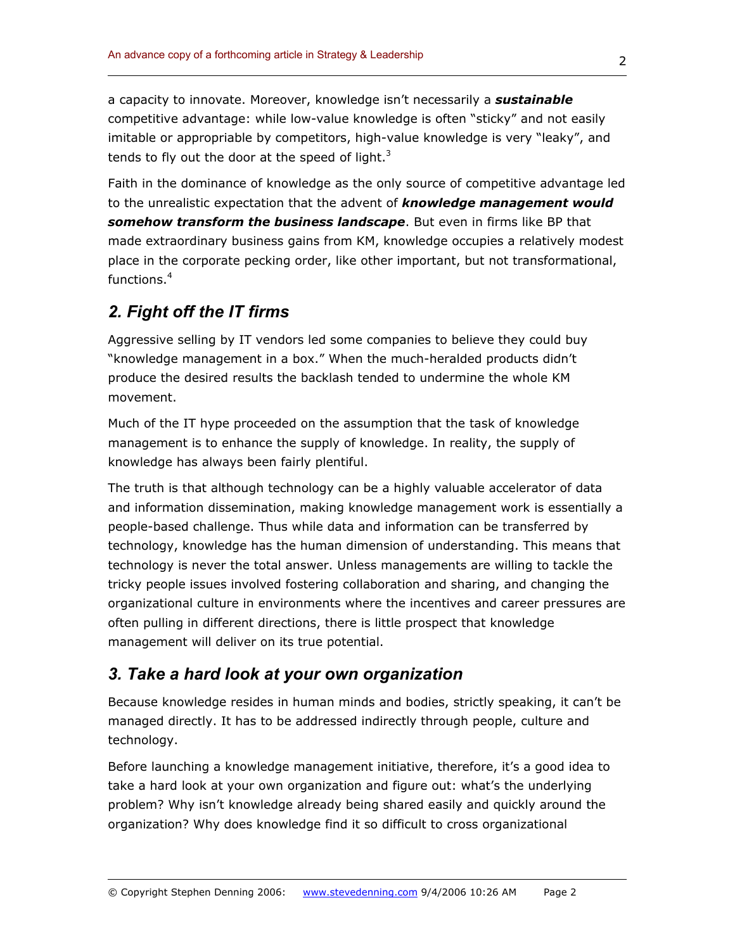a capacity to innovate. Moreover, knowledge isn't necessarily a *sustainable*  competitive advantage: while low-value knowledge is often "sticky" and not easily imitable or appropriable by competitors, high-value knowledge is very "leaky", and tends to fly out the door at the speed of light. $3$ 

Faith in the dominance of knowledge as the only source of competitive advantage led to the unrealistic expectation that the advent of *knowledge management would somehow transform the business landscape*. But even in firms like BP that made extraordinary business gains from KM, knowledge occupies a relatively modest place in the corporate pecking order, like other important, but not transformational, functions.<sup>4</sup>

# *2. Fight off the IT firms*

Aggressive selling by IT vendors led some companies to believe they could buy "knowledge management in a box." When the much-heralded products didn't produce the desired results the backlash tended to undermine the whole KM movement.

Much of the IT hype proceeded on the assumption that the task of knowledge management is to enhance the supply of knowledge. In reality, the supply of knowledge has always been fairly plentiful.

The truth is that although technology can be a highly valuable accelerator of data and information dissemination, making knowledge management work is essentially a people-based challenge. Thus while data and information can be transferred by technology, knowledge has the human dimension of understanding. This means that technology is never the total answer. Unless managements are willing to tackle the tricky people issues involved fostering collaboration and sharing, and changing the organizational culture in environments where the incentives and career pressures are often pulling in different directions, there is little prospect that knowledge management will deliver on its true potential.

## *3. Take a hard look at your own organization*

Because knowledge resides in human minds and bodies, strictly speaking, it can't be managed directly. It has to be addressed indirectly through people, culture and technology.

Before launching a knowledge management initiative, therefore, it's a good idea to take a hard look at your own organization and figure out: what's the underlying problem? Why isn't knowledge already being shared easily and quickly around the organization? Why does knowledge find it so difficult to cross organizational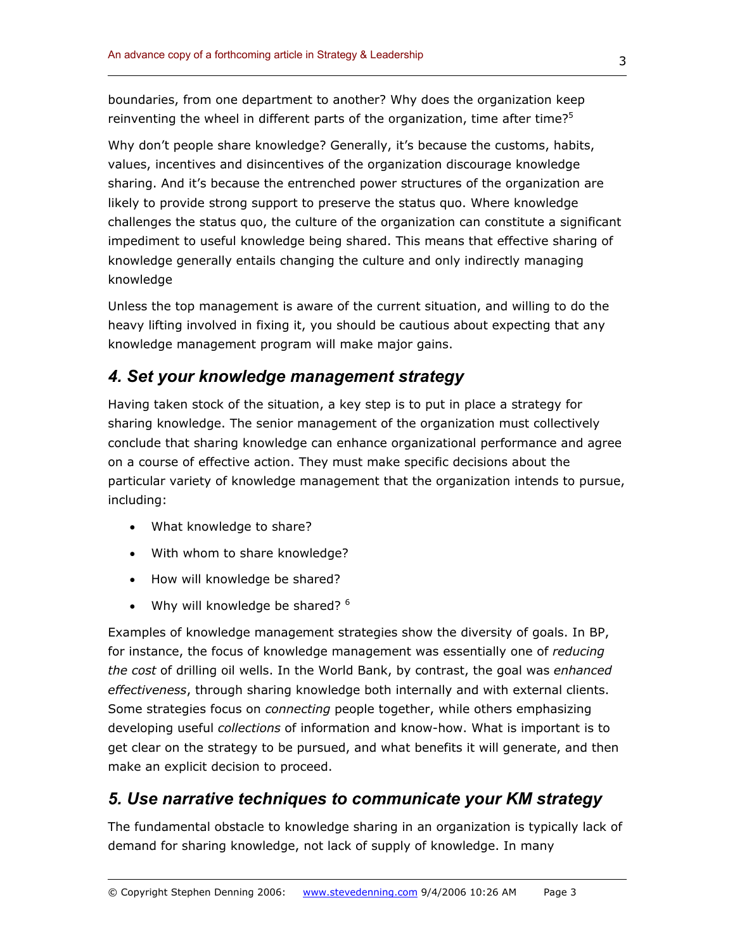boundaries, from one department to another? Why does the organization keep reinventing the wheel in different parts of the organization, time after time? $5$ 

Why don't people share knowledge? Generally, it's because the customs, habits, values, incentives and disincentives of the organization discourage knowledge sharing. And it's because the entrenched power structures of the organization are likely to provide strong support to preserve the status quo. Where knowledge challenges the status quo, the culture of the organization can constitute a significant impediment to useful knowledge being shared. This means that effective sharing of knowledge generally entails changing the culture and only indirectly managing knowledge

Unless the top management is aware of the current situation, and willing to do the heavy lifting involved in fixing it, you should be cautious about expecting that any knowledge management program will make major gains.

## *4. Set your knowledge management strategy*

Having taken stock of the situation, a key step is to put in place a strategy for sharing knowledge. The senior management of the organization must collectively conclude that sharing knowledge can enhance organizational performance and agree on a course of effective action. They must make specific decisions about the particular variety of knowledge management that the organization intends to pursue, including:

- What knowledge to share?
- With whom to share knowledge?
- How will knowledge be shared?
- Why will knowledge be shared?  $6$

Examples of knowledge management strategies show the diversity of goals. In BP, for instance, the focus of knowledge management was essentially one of *reducing the cost* of drilling oil wells. In the World Bank, by contrast, the goal was *enhanced effectiveness*, through sharing knowledge both internally and with external clients. Some strategies focus on *connecting* people together, while others emphasizing developing useful *collections* of information and know-how. What is important is to get clear on the strategy to be pursued, and what benefits it will generate, and then make an explicit decision to proceed.

### *5. Use narrative techniques to communicate your KM strategy*

The fundamental obstacle to knowledge sharing in an organization is typically lack of demand for sharing knowledge, not lack of supply of knowledge. In many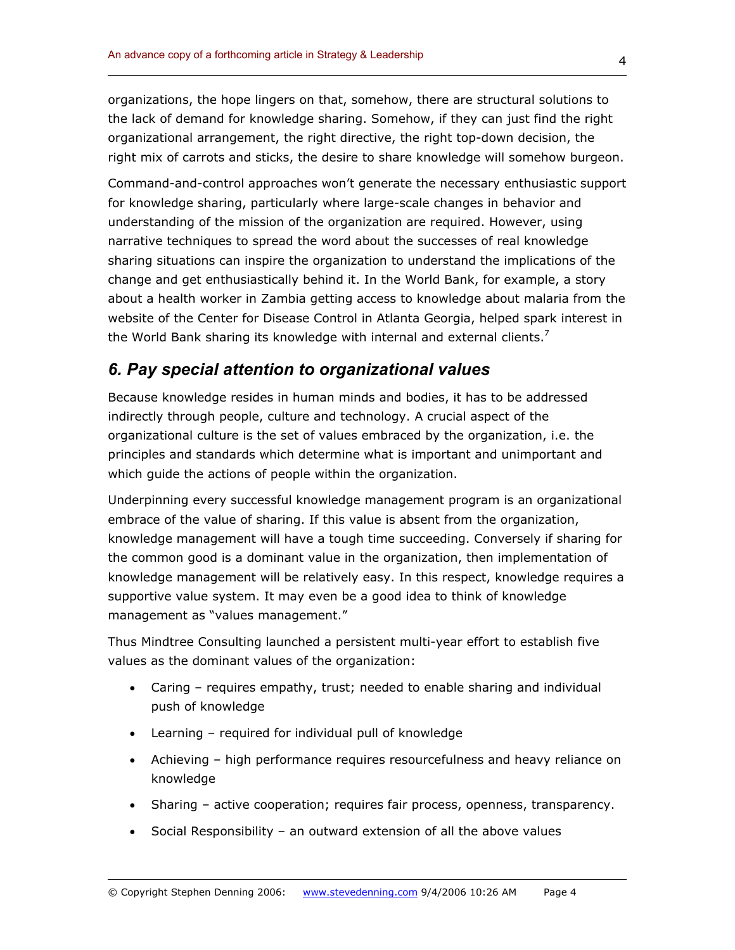organizations, the hope lingers on that, somehow, there are structural solutions to the lack of demand for knowledge sharing. Somehow, if they can just find the right organizational arrangement, the right directive, the right top-down decision, the right mix of carrots and sticks, the desire to share knowledge will somehow burgeon.

Command-and-control approaches won't generate the necessary enthusiastic support for knowledge sharing, particularly where large-scale changes in behavior and understanding of the mission of the organization are required. However, using narrative techniques to spread the word about the successes of real knowledge sharing situations can inspire the organization to understand the implications of the change and get enthusiastically behind it. In the World Bank, for example, a story about a health worker in Zambia getting access to knowledge about malaria from the website of the Center for Disease Control in Atlanta Georgia, helped spark interest in the World Bank sharing its knowledge with internal and external clients.<sup>7</sup>

### *6. Pay special attention to organizational values*

Because knowledge resides in human minds and bodies, it has to be addressed indirectly through people, culture and technology. A crucial aspect of the organizational culture is the set of values embraced by the organization, i.e. the principles and standards which determine what is important and unimportant and which guide the actions of people within the organization.

Underpinning every successful knowledge management program is an organizational embrace of the value of sharing. If this value is absent from the organization, knowledge management will have a tough time succeeding. Conversely if sharing for the common good is a dominant value in the organization, then implementation of knowledge management will be relatively easy. In this respect, knowledge requires a supportive value system. It may even be a good idea to think of knowledge management as "values management."

Thus Mindtree Consulting launched a persistent multi-year effort to establish five values as the dominant values of the organization:

- Caring requires empathy, trust; needed to enable sharing and individual push of knowledge
- Learning required for individual pull of knowledge
- Achieving high performance requires resourcefulness and heavy reliance on knowledge
- Sharing active cooperation; requires fair process, openness, transparency.
- Social Responsibility an outward extension of all the above values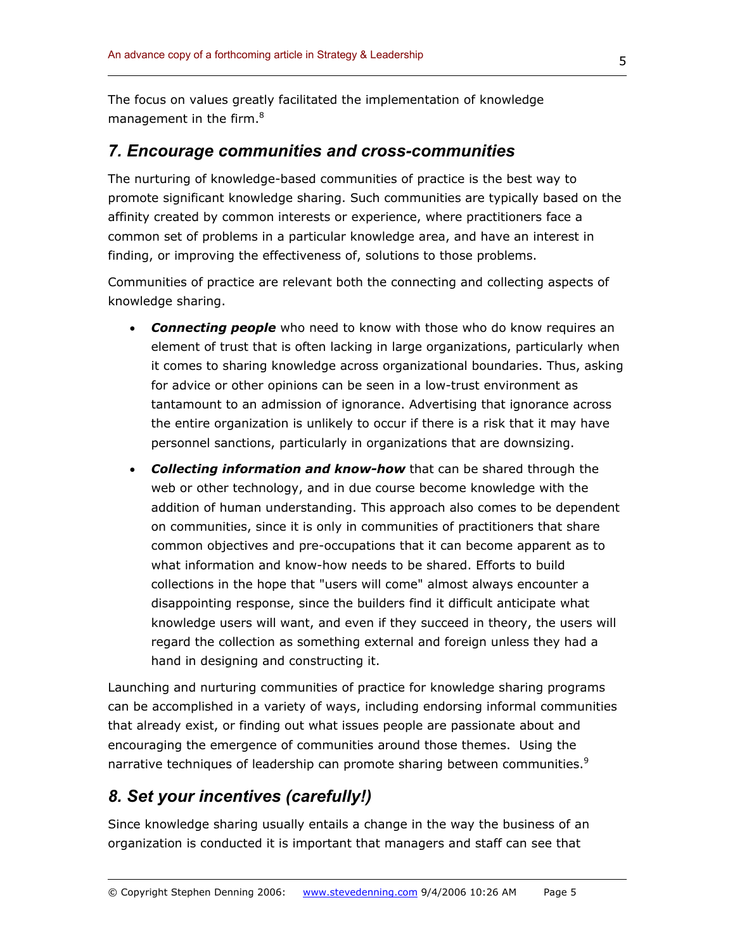The focus on values greatly facilitated the implementation of knowledge management in the firm.<sup>8</sup>

#### *7. Encourage communities and cross-communities*

The nurturing of knowledge-based communities of practice is the best way to promote significant knowledge sharing. Such communities are typically based on the affinity created by common interests or experience, where practitioners face a common set of problems in a particular knowledge area, and have an interest in finding, or improving the effectiveness of, solutions to those problems.

Communities of practice are relevant both the connecting and collecting aspects of knowledge sharing.

- *Connecting people* who need to know with those who do know requires an element of trust that is often lacking in large organizations, particularly when it comes to sharing knowledge across organizational boundaries. Thus, asking for advice or other opinions can be seen in a low-trust environment as tantamount to an admission of ignorance. Advertising that ignorance across the entire organization is unlikely to occur if there is a risk that it may have personnel sanctions, particularly in organizations that are downsizing.
- *Collecting information and know-how* that can be shared through the web or other technology, and in due course become knowledge with the addition of human understanding. This approach also comes to be dependent on communities, since it is only in communities of practitioners that share common objectives and pre-occupations that it can become apparent as to what information and know-how needs to be shared. Efforts to build collections in the hope that "users will come" almost always encounter a disappointing response, since the builders find it difficult anticipate what knowledge users will want, and even if they succeed in theory, the users will regard the collection as something external and foreign unless they had a hand in designing and constructing it.

Launching and nurturing communities of practice for knowledge sharing programs can be accomplished in a variety of ways, including endorsing informal communities that already exist, or finding out what issues people are passionate about and encouraging the emergence of communities around those themes. Using the narrative techniques of leadership can promote sharing between communities.<sup>9</sup>

# *8. Set your incentives (carefully!)*

Since knowledge sharing usually entails a change in the way the business of an organization is conducted it is important that managers and staff can see that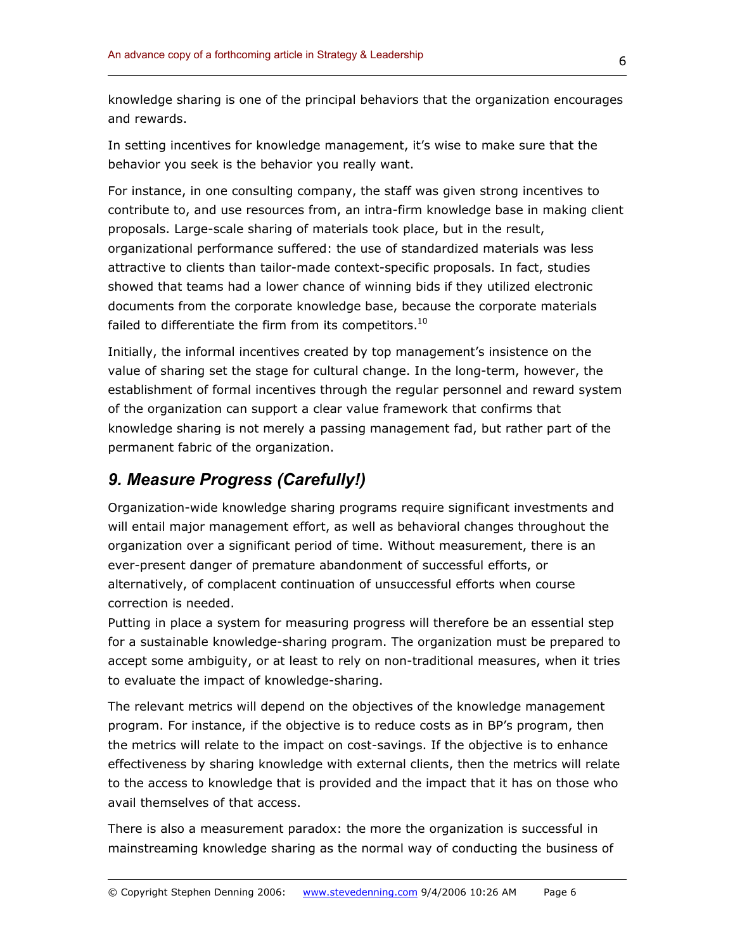knowledge sharing is one of the principal behaviors that the organization encourages and rewards.

In setting incentives for knowledge management, it's wise to make sure that the behavior you seek is the behavior you really want.

For instance, in one consulting company, the staff was given strong incentives to contribute to, and use resources from, an intra-firm knowledge base in making client proposals. Large-scale sharing of materials took place, but in the result, organizational performance suffered: the use of standardized materials was less attractive to clients than tailor-made context-specific proposals. In fact, studies showed that teams had a lower chance of winning bids if they utilized electronic documents from the corporate knowledge base, because the corporate materials failed to differentiate the firm from its competitors. $^{10}$ 

Initially, the informal incentives created by top management's insistence on the value of sharing set the stage for cultural change. In the long-term, however, the establishment of formal incentives through the regular personnel and reward system of the organization can support a clear value framework that confirms that knowledge sharing is not merely a passing management fad, but rather part of the permanent fabric of the organization.

# *9. Measure Progress (Carefully!)*

Organization-wide knowledge sharing programs require significant investments and will entail major management effort, as well as behavioral changes throughout the organization over a significant period of time. Without measurement, there is an ever-present danger of premature abandonment of successful efforts, or alternatively, of complacent continuation of unsuccessful efforts when course correction is needed.

Putting in place a system for measuring progress will therefore be an essential step for a sustainable knowledge-sharing program. The organization must be prepared to accept some ambiguity, or at least to rely on non-traditional measures, when it tries to evaluate the impact of knowledge-sharing.

The relevant metrics will depend on the objectives of the knowledge management program. For instance, if the objective is to reduce costs as in BP's program, then the metrics will relate to the impact on cost-savings. If the objective is to enhance effectiveness by sharing knowledge with external clients, then the metrics will relate to the access to knowledge that is provided and the impact that it has on those who avail themselves of that access.

There is also a measurement paradox: the more the organization is successful in mainstreaming knowledge sharing as the normal way of conducting the business of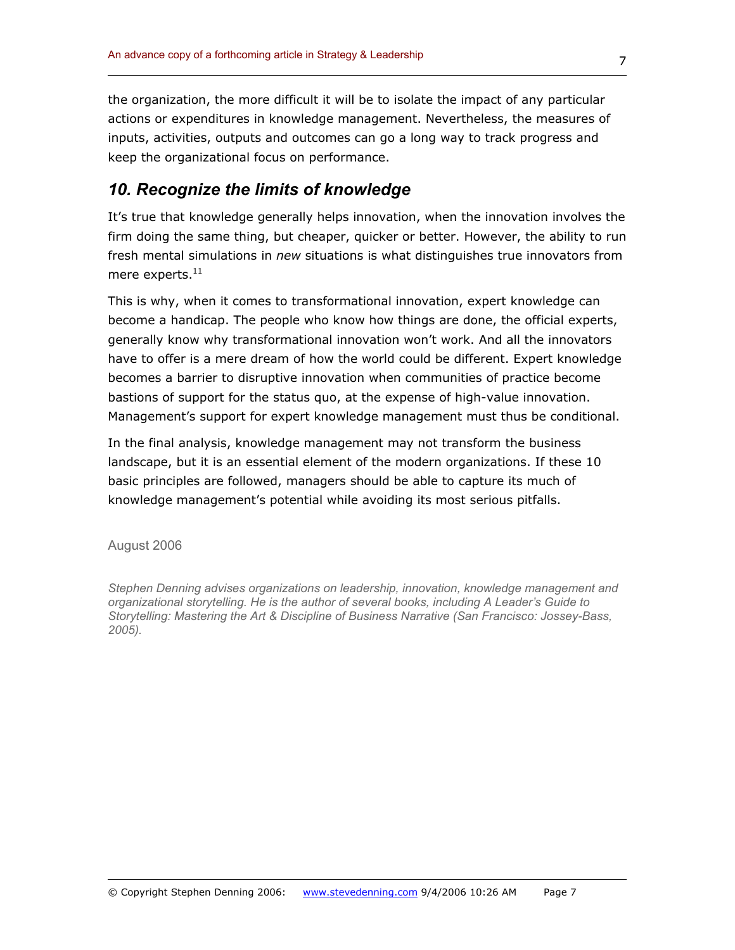the organization, the more difficult it will be to isolate the impact of any particular actions or expenditures in knowledge management. Nevertheless, the measures of inputs, activities, outputs and outcomes can go a long way to track progress and keep the organizational focus on performance.

### *10. Recognize the limits of knowledge*

It's true that knowledge generally helps innovation, when the innovation involves the firm doing the same thing, but cheaper, quicker or better. However, the ability to run fresh mental simulations in *new* situations is what distinguishes true innovators from mere experts. $^{11}$ 

This is why, when it comes to transformational innovation, expert knowledge can become a handicap. The people who know how things are done, the official experts, generally know why transformational innovation won't work. And all the innovators have to offer is a mere dream of how the world could be different. Expert knowledge becomes a barrier to disruptive innovation when communities of practice become bastions of support for the status quo, at the expense of high-value innovation. Management's support for expert knowledge management must thus be conditional.

In the final analysis, knowledge management may not transform the business landscape, but it is an essential element of the modern organizations. If these 10 basic principles are followed, managers should be able to capture its much of knowledge management's potential while avoiding its most serious pitfalls.

August 2006

*Stephen Denning advises organizations on leadership, innovation, knowledge management and organizational storytelling. He is the author of several books, including A Leader's Guide to Storytelling: Mastering the Art & Discipline of Business Narrative (San Francisco: Jossey-Bass, 2005).*